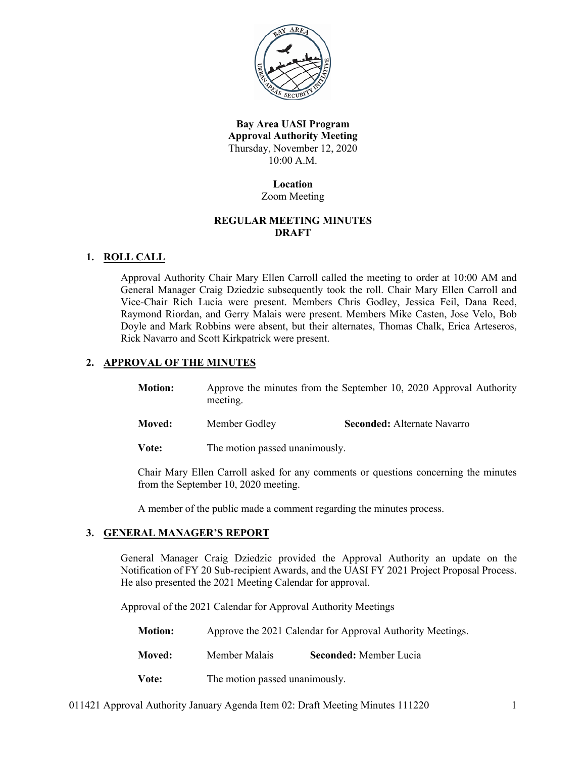

**Bay Area UASI Program Approval Authority Meeting** Thursday, November 12, 2020 10:00 A.M.

### **Location** Zoom Meeting

# **REGULAR MEETING MINUTES DRAFT**

# **1. ROLL CALL**

Approval Authority Chair Mary Ellen Carroll called the meeting to order at 10:00 AM and General Manager Craig Dziedzic subsequently took the roll. Chair Mary Ellen Carroll and Vice-Chair Rich Lucia were present. Members Chris Godley, Jessica Feil, Dana Reed, Raymond Riordan, and Gerry Malais were present. Members Mike Casten, Jose Velo, Bob Doyle and Mark Robbins were absent, but their alternates, Thomas Chalk, Erica Arteseros, Rick Navarro and Scott Kirkpatrick were present.

# **2. APPROVAL OF THE MINUTES**

- **Motion:** Approve the minutes from the September 10, 2020 Approval Authority meeting.
- **Moved:** Member Godley **Seconded:** Alternate Navarro

**Vote:** The motion passed unanimously.

Chair Mary Ellen Carroll asked for any comments or questions concerning the minutes from the September 10, 2020 meeting.

A member of the public made a comment regarding the minutes process.

# **3. GENERAL MANAGER'S REPORT**

General Manager Craig Dziedzic provided the Approval Authority an update on the Notification of FY 20 Sub-recipient Awards, and the UASI FY 2021 Project Proposal Process. He also presented the 2021 Meeting Calendar for approval.

Approval of the 2021 Calendar for Approval Authority Meetings

- **Motion:** Approve the 2021 Calendar for Approval Authority Meetings.
- **Moved:** Member Malais **Seconded:** Member Lucia
- **Vote:** The motion passed unanimously.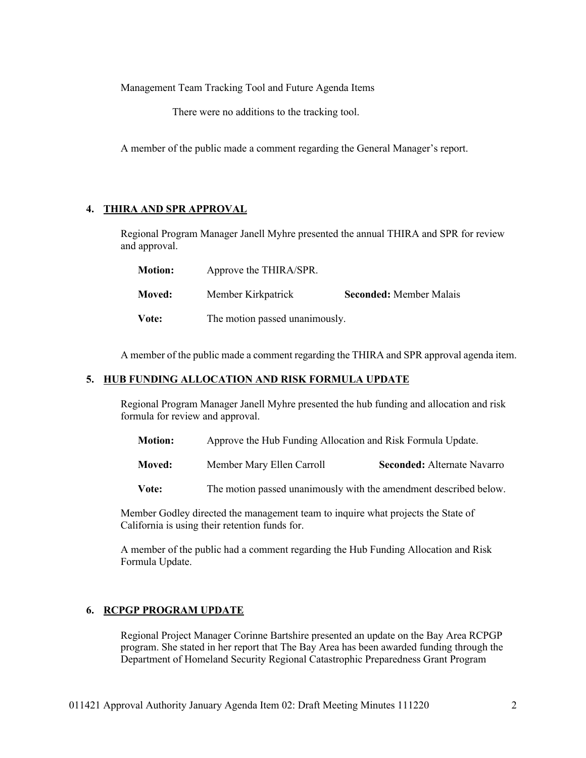Management Team Tracking Tool and Future Agenda Items

There were no additions to the tracking tool.

A member of the public made a comment regarding the General Manager's report.

# **4. THIRA AND SPR APPROVAL**

Regional Program Manager Janell Myhre presented the annual THIRA and SPR for review and approval.

| <b>Motion:</b> | Approve the THIRA/SPR.         |                                |
|----------------|--------------------------------|--------------------------------|
| <b>Moved:</b>  | Member Kirkpatrick             | <b>Seconded: Member Malais</b> |
| Vote:          | The motion passed unanimously. |                                |

A member of the public made a comment regarding the THIRA and SPR approval agenda item.

### **5. HUB FUNDING ALLOCATION AND RISK FORMULA UPDATE**

Regional Program Manager Janell Myhre presented the hub funding and allocation and risk formula for review and approval.

- **Motion:** Approve the Hub Funding Allocation and Risk Formula Update.
- **Moved:** Member Mary Ellen Carroll **Seconded:** Alternate Navarro

**Vote:** The motion passed unanimously with the amendment described below.

Member Godley directed the management team to inquire what projects the State of California is using their retention funds for.

A member of the public had a comment regarding the Hub Funding Allocation and Risk Formula Update.

# **6. RCPGP PROGRAM UPDATE**

Regional Project Manager Corinne Bartshire presented an update on the Bay Area RCPGP program. She stated in her report that The Bay Area has been awarded funding through the Department of Homeland Security Regional Catastrophic Preparedness Grant Program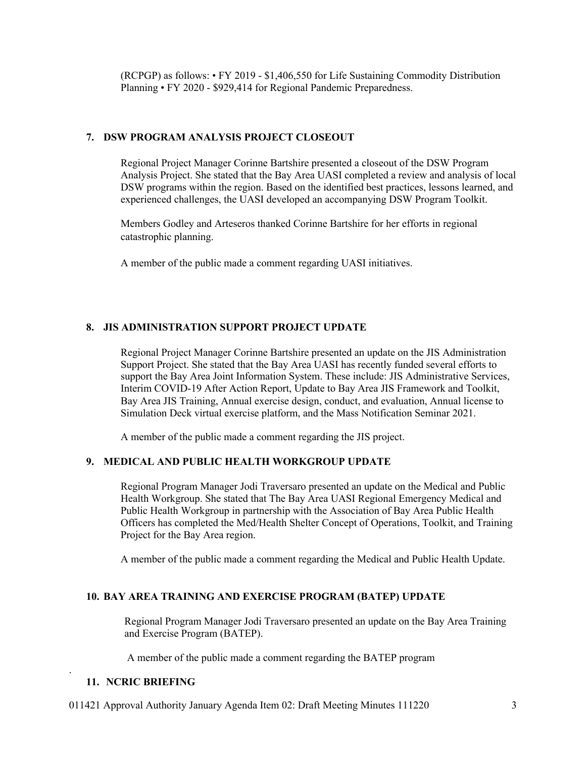(RCPGP) as follows: • FY 2019 - \$1,406,550 for Life Sustaining Commodity Distribution Planning • FY 2020 - \$929,414 for Regional Pandemic Preparedness.

## **7. DSW PROGRAM ANALYSIS PROJECT CLOSEOUT**

Regional Project Manager Corinne Bartshire presented a closeout of the DSW Program Analysis Project. She stated that the Bay Area UASI completed a review and analysis of local DSW programs within the region. Based on the identified best practices, lessons learned, and experienced challenges, the UASI developed an accompanying DSW Program Toolkit.

Members Godley and Arteseros thanked Corinne Bartshire for her efforts in regional catastrophic planning.

A member of the public made a comment regarding UASI initiatives.

#### **8. JIS ADMINISTRATION SUPPORT PROJECT UPDATE**

Regional Project Manager Corinne Bartshire presented an update on the JIS Administration Support Project. She stated that the Bay Area UASI has recently funded several efforts to support the Bay Area Joint Information System. These include: JIS Administrative Services, Interim COVID-19 After Action Report, Update to Bay Area JIS Framework and Toolkit, Bay Area JIS Training, Annual exercise design, conduct, and evaluation, Annual license to Simulation Deck virtual exercise platform, and the Mass Notification Seminar 2021.

A member of the public made a comment regarding the JIS project.

#### **9. MEDICAL AND PUBLIC HEALTH WORKGROUP UPDATE**

Regional Program Manager Jodi Traversaro presented an update on the Medical and Public Health Workgroup. She stated that The Bay Area UASI Regional Emergency Medical and Public Health Workgroup in partnership with the Association of Bay Area Public Health Officers has completed the Med/Health Shelter Concept of Operations, Toolkit, and Training Project for the Bay Area region.

A member of the public made a comment regarding the Medical and Public Health Update.

#### **10. BAY AREA TRAINING AND EXERCISE PROGRAM (BATEP) UPDATE**

Regional Program Manager Jodi Traversaro presented an update on the Bay Area Training and Exercise Program (BATEP).

A member of the public made a comment regarding the BATEP program

#### **11. NCRIC BRIEFING**

.